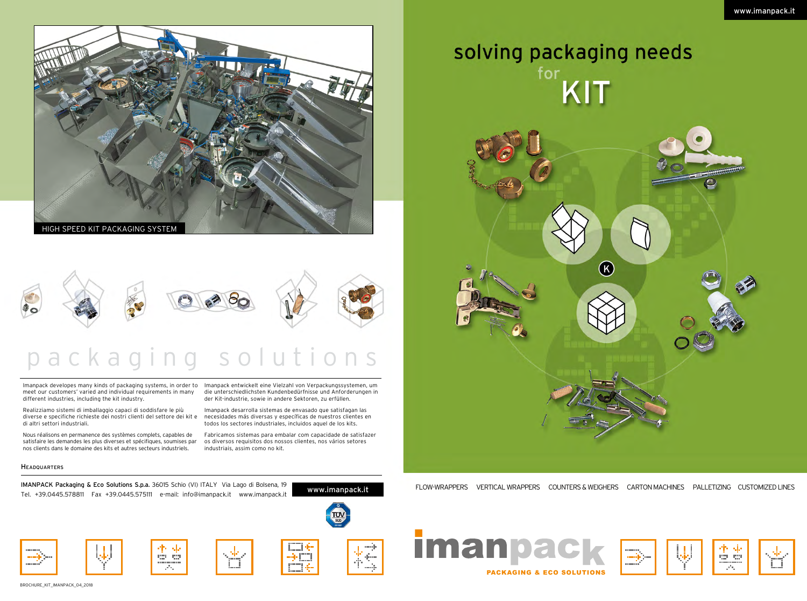# packaging solutions

IMANPACK Packaging & Eco Solutions S.p.a. 36015 Schio (VI) ITALY Via Lago di Bolsena, 19<br>International anti-proposale regionalisme and the second proposale in the second with the www.imanpack.it Tel. +39.0445.578811 Fax +39.0445.575111 e-mail: info@imanpack.it www.imanpack.it





# solving packaging needs for KIT



Imanpack developes many kinds of packaging systems, in order to Imanpack entwickelt eine Vielzahl von Verpackungssystemen, um meet our customers' varied and individual requirements in many different industries, including the kit industry.

die unterschiedlichsten Kundenbedürfnisse und Anforderungen in der Kit-industrie, sowie in andere Sektoren, zu erfüllen.

Realizziamo sistemi di imballaggio capaci di soddisfare le più diverse e specifiche richieste dei nostri clienti del settore dei kit e di altri settori industriali.

Imanpack desarrolla sistemas de envasado que satisfagan las necesidades más diversas y específicas de nuestros clientes en todos los sectores industriales, incluidos aquel de los kits.

Nous réalisons en permanence des systèmes complets, capables de satisfaire les demandes les plus diverses et spécifiques, soumises par nos clients dans le domaine des kits et autres secteurs industriels.

Fabricamos sistemas para embalar com capacidade de satisfazer os diversos requisitos dos nossos clientes, nos vários setores industriais, assim como no kit.

#### **HEADQUARTERS**

PACKAGING & ECO SOLUTIONS





FLOW-WRAPPERS VERTICAL WRAPPERS COUNTERS & WEIGHERS CARTON MACHINES PALLETIZING CUSTOMIZED LINES

www.imanpack.it



BROCHURE\_KIT\_IMANPACK\_04\_2018